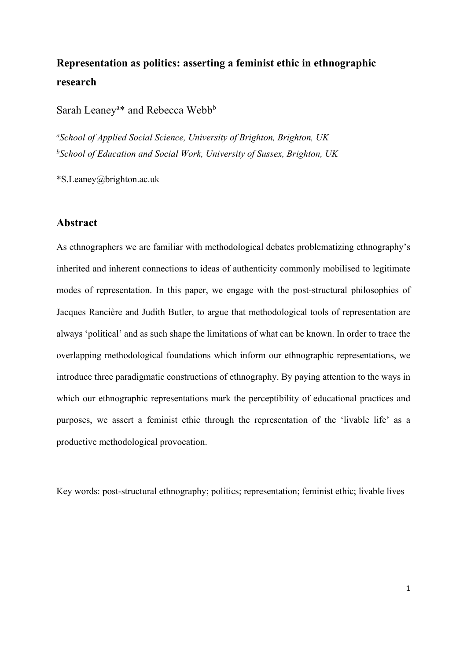# **Representation as politics: asserting a feminist ethic in ethnographic research**

Sarah Leaney<sup>a\*</sup> and Rebecca Webb<sup>b</sup>

*a School of Applied Social Science, University of Brighton, Brighton, UK b School of Education and Social Work, University of Sussex, Brighton, UK*

\*S.Leaney@brighton.ac.uk

#### **Abstract**

As ethnographers we are familiar with methodological debates problematizing ethnography's inherited and inherent connections to ideas of authenticity commonly mobilised to legitimate modes of representation. In this paper, we engage with the post-structural philosophies of Jacques Rancière and Judith Butler, to argue that methodological tools of representation are always 'political' and as such shape the limitations of what can be known. In order to trace the overlapping methodological foundations which inform our ethnographic representations, we introduce three paradigmatic constructions of ethnography. By paying attention to the ways in which our ethnographic representations mark the perceptibility of educational practices and purposes, we assert a feminist ethic through the representation of the 'livable life' as a productive methodological provocation.

Key words: post-structural ethnography; politics; representation; feminist ethic; livable lives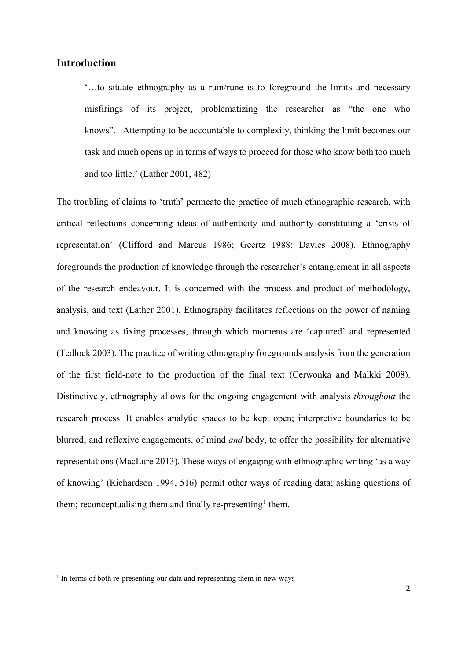# **Introduction**

'…to situate ethnography as a ruin/rune is to foreground the limits and necessary misfirings of its project, problematizing the researcher as "the one who knows"…Attempting to be accountable to complexity, thinking the limit becomes our task and much opens up in terms of ways to proceed for those who know both too much and too little.' (Lather 2001, 482)

The troubling of claims to 'truth' permeate the practice of much ethnographic research, with critical reflections concerning ideas of authenticity and authority constituting a 'crisis of representation' (Clifford and Marcus 1986; Geertz 1988; Davies 2008). Ethnography foregrounds the production of knowledge through the researcher's entanglement in all aspects of the research endeavour. It is concerned with the process and product of methodology, analysis, and text (Lather 2001). Ethnography facilitates reflections on the power of naming and knowing as fixing processes, through which moments are 'captured' and represented (Tedlock 2003). The practice of writing ethnography foregrounds analysis from the generation of the first field-note to the production of the final text (Cerwonka and Malkki 2008). Distinctively, ethnography allows for the ongoing engagement with analysis *throughout* the research process. It enables analytic spaces to be kept open; interpretive boundaries to be blurred; and reflexive engagements, of mind *and* body, to offer the possibility for alternative representations (MacLure 2013). These ways of engaging with ethnographic writing 'as a way of knowing' (Richardson 1994, 516) permit other ways of reading data; asking questions of them; reconceptualising them and finally re-presenting<sup>[1](#page-1-0)</sup> them.

<span id="page-1-0"></span><sup>&</sup>lt;sup>1</sup> In terms of both re-presenting our data and representing them in new ways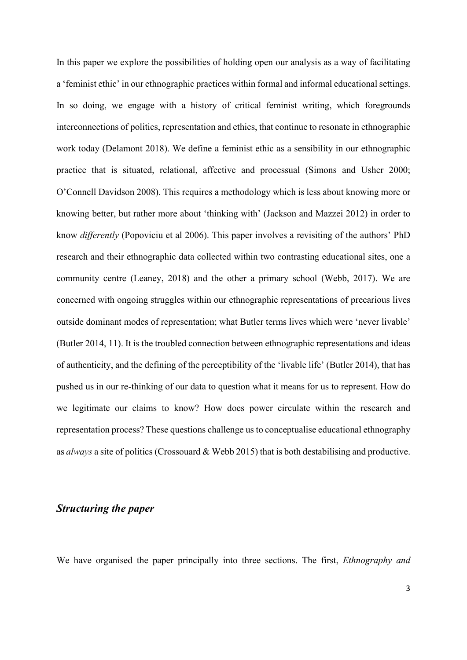In this paper we explore the possibilities of holding open our analysis as a way of facilitating a 'feminist ethic' in our ethnographic practices within formal and informal educational settings. In so doing, we engage with a history of critical feminist writing, which foregrounds interconnections of politics, representation and ethics, that continue to resonate in ethnographic work today (Delamont 2018). We define a feminist ethic as a sensibility in our ethnographic practice that is situated, relational, affective and processual (Simons and Usher 2000; O'Connell Davidson 2008). This requires a methodology which is less about knowing more or knowing better, but rather more about 'thinking with' (Jackson and Mazzei 2012) in order to know *differently* (Popoviciu et al 2006). This paper involves a revisiting of the authors' PhD research and their ethnographic data collected within two contrasting educational sites, one a community centre (Leaney, 2018) and the other a primary school (Webb, 2017). We are concerned with ongoing struggles within our ethnographic representations of precarious lives outside dominant modes of representation; what Butler terms lives which were 'never livable' (Butler 2014, 11). It is the troubled connection between ethnographic representations and ideas of authenticity, and the defining of the perceptibility of the 'livable life' (Butler 2014), that has pushed us in our re-thinking of our data to question what it means for us to represent. How do we legitimate our claims to know? How does power circulate within the research and representation process? These questions challenge us to conceptualise educational ethnography as *always* a site of politics (Crossouard & Webb 2015) that is both destabilising and productive.

#### *Structuring the paper*

We have organised the paper principally into three sections. The first, *Ethnography and*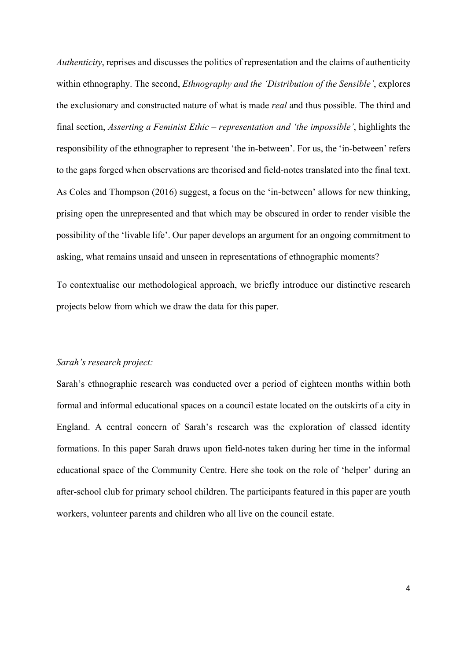*Authenticity*, reprises and discusses the politics of representation and the claims of authenticity within ethnography. The second, *Ethnography and the 'Distribution of the Sensible'*, explores the exclusionary and constructed nature of what is made *real* and thus possible. The third and final section, *Asserting a Feminist Ethic – representation and 'the impossible'*, highlights the responsibility of the ethnographer to represent 'the in-between'. For us, the 'in-between' refers to the gaps forged when observations are theorised and field-notes translated into the final text. As Coles and Thompson (2016) suggest, a focus on the 'in-between' allows for new thinking, prising open the unrepresented and that which may be obscured in order to render visible the possibility of the 'livable life'. Our paper develops an argument for an ongoing commitment to asking, what remains unsaid and unseen in representations of ethnographic moments?

To contextualise our methodological approach, we briefly introduce our distinctive research projects below from which we draw the data for this paper.

#### *Sarah's research project:*

Sarah's ethnographic research was conducted over a period of eighteen months within both formal and informal educational spaces on a council estate located on the outskirts of a city in England. A central concern of Sarah's research was the exploration of classed identity formations. In this paper Sarah draws upon field-notes taken during her time in the informal educational space of the Community Centre. Here she took on the role of 'helper' during an after-school club for primary school children. The participants featured in this paper are youth workers, volunteer parents and children who all live on the council estate.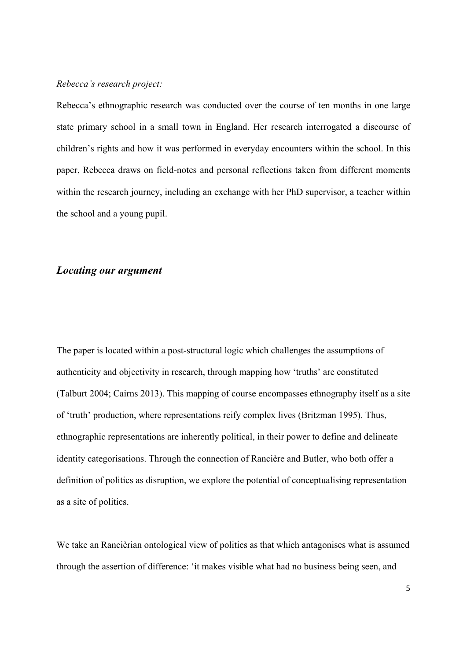#### *Rebecca's research project:*

Rebecca's ethnographic research was conducted over the course of ten months in one large state primary school in a small town in England. Her research interrogated a discourse of children's rights and how it was performed in everyday encounters within the school. In this paper, Rebecca draws on field-notes and personal reflections taken from different moments within the research journey, including an exchange with her PhD supervisor, a teacher within the school and a young pupil.

# *Locating our argument*

The paper is located within a post-structural logic which challenges the assumptions of authenticity and objectivity in research, through mapping how 'truths' are constituted (Talburt 2004; Cairns 2013). This mapping of course encompasses ethnography itself as a site of 'truth' production, where representations reify complex lives (Britzman 1995). Thus, ethnographic representations are inherently political, in their power to define and delineate identity categorisations. Through the connection of Rancière and Butler, who both offer a definition of politics as disruption, we explore the potential of conceptualising representation as a site of politics.

We take an Rancièrian ontological view of politics as that which antagonises what is assumed through the assertion of difference: 'it makes visible what had no business being seen, and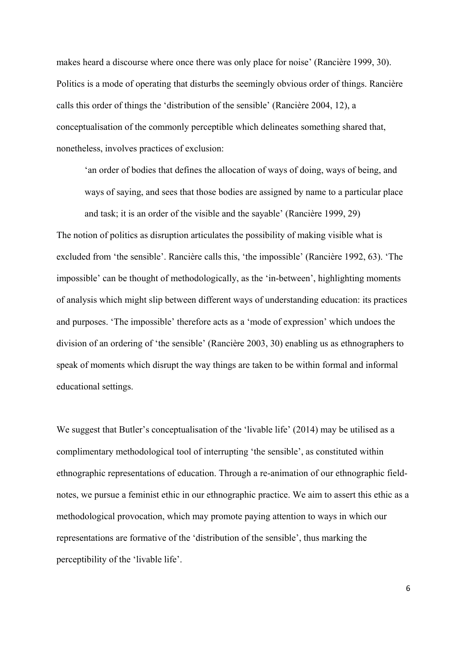makes heard a discourse where once there was only place for noise' (Rancière 1999, 30). Politics is a mode of operating that disturbs the seemingly obvious order of things. Rancière calls this order of things the 'distribution of the sensible' (Rancière 2004, 12), a conceptualisation of the commonly perceptible which delineates something shared that, nonetheless, involves practices of exclusion:

'an order of bodies that defines the allocation of ways of doing, ways of being, and ways of saying, and sees that those bodies are assigned by name to a particular place and task; it is an order of the visible and the sayable' (Rancière 1999, 29)

The notion of politics as disruption articulates the possibility of making visible what is excluded from 'the sensible'. Rancière calls this, 'the impossible' (Rancière 1992, 63). 'The impossible' can be thought of methodologically, as the 'in-between', highlighting moments of analysis which might slip between different ways of understanding education: its practices and purposes. 'The impossible' therefore acts as a 'mode of expression' which undoes the division of an ordering of 'the sensible' (Rancière 2003, 30) enabling us as ethnographers to speak of moments which disrupt the way things are taken to be within formal and informal educational settings.

We suggest that Butler's conceptualisation of the 'livable life' (2014) may be utilised as a complimentary methodological tool of interrupting 'the sensible', as constituted within ethnographic representations of education. Through a re-animation of our ethnographic fieldnotes, we pursue a feminist ethic in our ethnographic practice. We aim to assert this ethic as a methodological provocation, which may promote paying attention to ways in which our representations are formative of the 'distribution of the sensible', thus marking the perceptibility of the 'livable life'.

6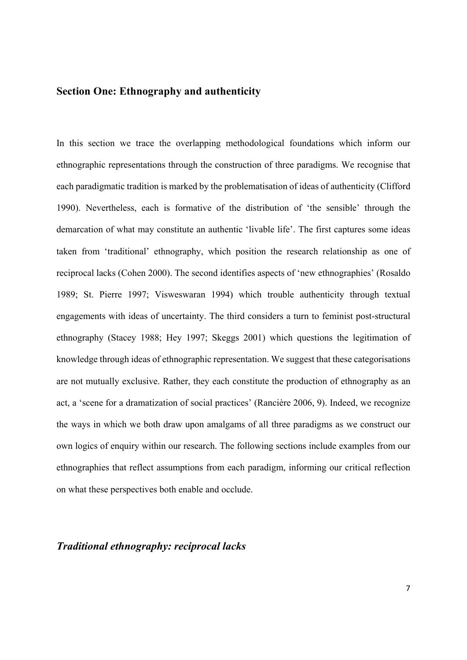# **Section One: Ethnography and authenticity**

In this section we trace the overlapping methodological foundations which inform our ethnographic representations through the construction of three paradigms. We recognise that each paradigmatic tradition is marked by the problematisation of ideas of authenticity (Clifford 1990). Nevertheless, each is formative of the distribution of 'the sensible' through the demarcation of what may constitute an authentic 'livable life'. The first captures some ideas taken from 'traditional' ethnography, which position the research relationship as one of reciprocal lacks (Cohen 2000). The second identifies aspects of 'new ethnographies' (Rosaldo 1989; St. Pierre 1997; Visweswaran 1994) which trouble authenticity through textual engagements with ideas of uncertainty. The third considers a turn to feminist post-structural ethnography (Stacey 1988; Hey 1997; Skeggs 2001) which questions the legitimation of knowledge through ideas of ethnographic representation. We suggest that these categorisations are not mutually exclusive. Rather, they each constitute the production of ethnography as an act, a 'scene for a dramatization of social practices' (Rancière 2006, 9). Indeed, we recognize the ways in which we both draw upon amalgams of all three paradigms as we construct our own logics of enquiry within our research. The following sections include examples from our ethnographies that reflect assumptions from each paradigm, informing our critical reflection on what these perspectives both enable and occlude.

# *Traditional ethnography: reciprocal lacks*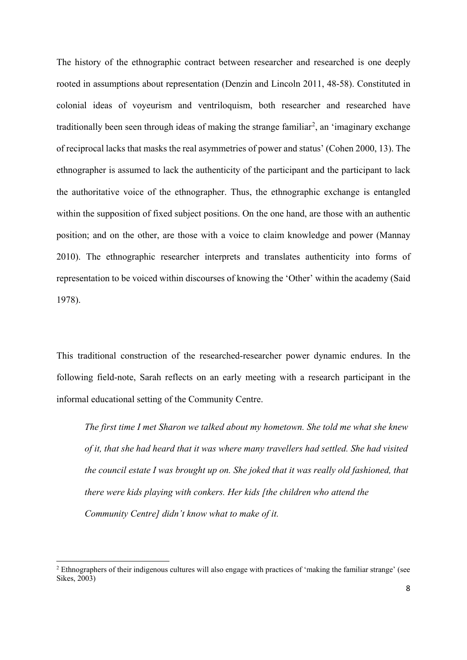The history of the ethnographic contract between researcher and researched is one deeply rooted in assumptions about representation (Denzin and Lincoln 2011, 48-58). Constituted in colonial ideas of voyeurism and ventriloquism, both researcher and researched have traditionally been seen through ideas of making the strange familiar<sup>[2](#page-7-0)</sup>, an 'imaginary exchange of reciprocal lacks that masks the real asymmetries of power and status' (Cohen 2000, 13). The ethnographer is assumed to lack the authenticity of the participant and the participant to lack the authoritative voice of the ethnographer. Thus, the ethnographic exchange is entangled within the supposition of fixed subject positions. On the one hand, are those with an authentic position; and on the other, are those with a voice to claim knowledge and power (Mannay 2010). The ethnographic researcher interprets and translates authenticity into forms of representation to be voiced within discourses of knowing the 'Other' within the academy (Said 1978).

This traditional construction of the researched-researcher power dynamic endures. In the following field-note, Sarah reflects on an early meeting with a research participant in the informal educational setting of the Community Centre.

*The first time I met Sharon we talked about my hometown. She told me what she knew of it, that she had heard that it was where many travellers had settled. She had visited the council estate I was brought up on. She joked that it was really old fashioned, that there were kids playing with conkers. Her kids [the children who attend the Community Centre] didn't know what to make of it.*

<span id="page-7-0"></span><sup>&</sup>lt;sup>2</sup> Ethnographers of their indigenous cultures will also engage with practices of 'making the familiar strange' (see Sikes, 2003)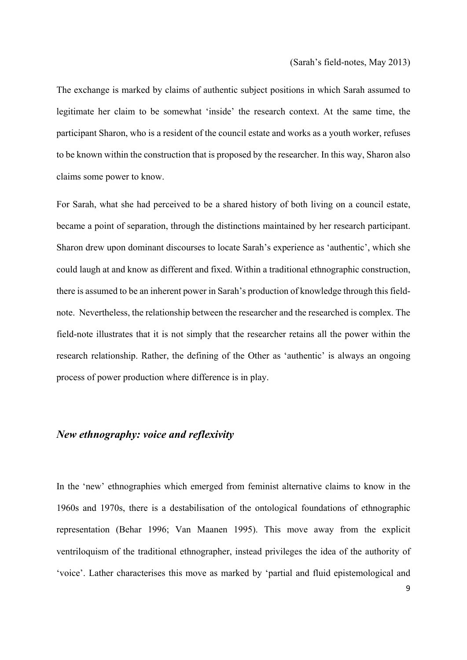The exchange is marked by claims of authentic subject positions in which Sarah assumed to legitimate her claim to be somewhat 'inside' the research context. At the same time, the participant Sharon, who is a resident of the council estate and works as a youth worker, refuses to be known within the construction that is proposed by the researcher. In this way, Sharon also claims some power to know.

For Sarah, what she had perceived to be a shared history of both living on a council estate, became a point of separation, through the distinctions maintained by her research participant. Sharon drew upon dominant discourses to locate Sarah's experience as 'authentic', which she could laugh at and know as different and fixed. Within a traditional ethnographic construction, there is assumed to be an inherent power in Sarah's production of knowledge through this fieldnote. Nevertheless, the relationship between the researcher and the researched is complex. The field-note illustrates that it is not simply that the researcher retains all the power within the research relationship. Rather, the defining of the Other as 'authentic' is always an ongoing process of power production where difference is in play.

# *New ethnography: voice and reflexivity*

In the 'new' ethnographies which emerged from feminist alternative claims to know in the 1960s and 1970s, there is a destabilisation of the ontological foundations of ethnographic representation (Behar 1996; Van Maanen 1995). This move away from the explicit ventriloquism of the traditional ethnographer, instead privileges the idea of the authority of 'voice'. Lather characterises this move as marked by 'partial and fluid epistemological and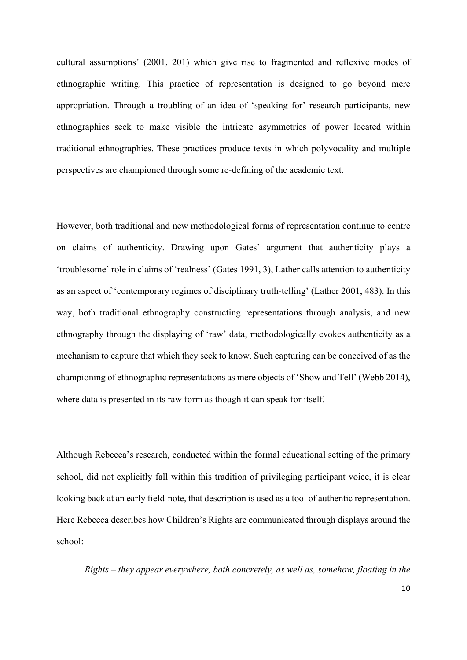cultural assumptions' (2001, 201) which give rise to fragmented and reflexive modes of ethnographic writing. This practice of representation is designed to go beyond mere appropriation. Through a troubling of an idea of 'speaking for' research participants, new ethnographies seek to make visible the intricate asymmetries of power located within traditional ethnographies. These practices produce texts in which polyvocality and multiple perspectives are championed through some re-defining of the academic text.

However, both traditional and new methodological forms of representation continue to centre on claims of authenticity. Drawing upon Gates' argument that authenticity plays a 'troublesome' role in claims of 'realness' (Gates 1991, 3), Lather calls attention to authenticity as an aspect of 'contemporary regimes of disciplinary truth-telling' (Lather 2001, 483). In this way, both traditional ethnography constructing representations through analysis, and new ethnography through the displaying of 'raw' data, methodologically evokes authenticity as a mechanism to capture that which they seek to know. Such capturing can be conceived of as the championing of ethnographic representations as mere objects of 'Show and Tell' (Webb 2014), where data is presented in its raw form as though it can speak for itself.

Although Rebecca's research, conducted within the formal educational setting of the primary school, did not explicitly fall within this tradition of privileging participant voice, it is clear looking back at an early field-note, that description is used as a tool of authentic representation. Here Rebecca describes how Children's Rights are communicated through displays around the school:

*Rights – they appear everywhere, both concretely, as well as, somehow, floating in the*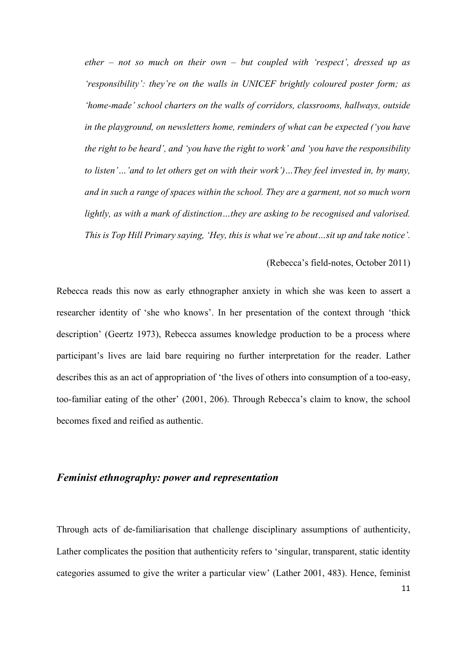*ether – not so much on their own – but coupled with 'respect', dressed up as 'responsibility': they're on the walls in UNICEF brightly coloured poster form; as 'home-made' school charters on the walls of corridors, classrooms, hallways, outside in the playground, on newsletters home, reminders of what can be expected ('you have the right to be heard', and 'you have the right to work' and 'you have the responsibility to listen'…'and to let others get on with their work')…They feel invested in, by many, and in such a range of spaces within the school. They are a garment, not so much worn lightly, as with a mark of distinction…they are asking to be recognised and valorised. This is Top Hill Primary saying, 'Hey, this is what we're about…sit up and take notice'.*

#### (Rebecca's field-notes, October 2011)

Rebecca reads this now as early ethnographer anxiety in which she was keen to assert a researcher identity of 'she who knows'. In her presentation of the context through 'thick description' (Geertz 1973), Rebecca assumes knowledge production to be a process where participant's lives are laid bare requiring no further interpretation for the reader. Lather describes this as an act of appropriation of 'the lives of others into consumption of a too-easy, too-familiar eating of the other' (2001, 206). Through Rebecca's claim to know, the school becomes fixed and reified as authentic.

# *Feminist ethnography: power and representation*

Through acts of de-familiarisation that challenge disciplinary assumptions of authenticity, Lather complicates the position that authenticity refers to 'singular, transparent, static identity categories assumed to give the writer a particular view' (Lather 2001, 483). Hence, feminist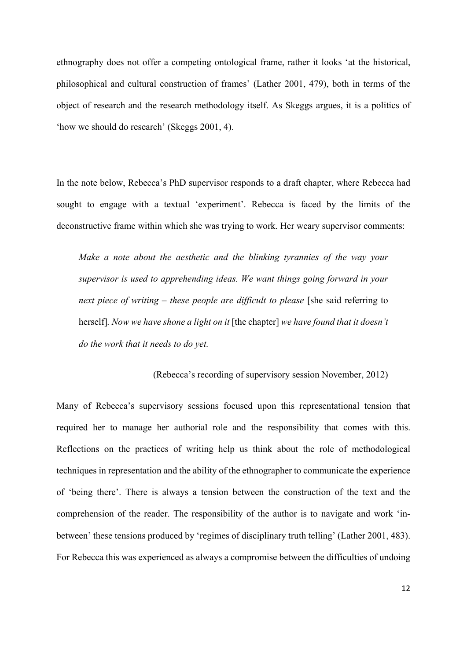ethnography does not offer a competing ontological frame, rather it looks 'at the historical, philosophical and cultural construction of frames' (Lather 2001, 479), both in terms of the object of research and the research methodology itself. As Skeggs argues, it is a politics of 'how we should do research' (Skeggs 2001, 4).

In the note below, Rebecca's PhD supervisor responds to a draft chapter, where Rebecca had sought to engage with a textual 'experiment'. Rebecca is faced by the limits of the deconstructive frame within which she was trying to work. Her weary supervisor comments:

*Make a note about the aesthetic and the blinking tyrannies of the way your supervisor is used to apprehending ideas. We want things going forward in your next piece of writing – these people are difficult to please* [she said referring to herself]*. Now we have shone a light on it* [the chapter] *we have found that it doesn't do the work that it needs to do yet.* 

(Rebecca's recording of supervisory session November, 2012)

Many of Rebecca's supervisory sessions focused upon this representational tension that required her to manage her authorial role and the responsibility that comes with this. Reflections on the practices of writing help us think about the role of methodological techniques in representation and the ability of the ethnographer to communicate the experience of 'being there'. There is always a tension between the construction of the text and the comprehension of the reader. The responsibility of the author is to navigate and work 'inbetween' these tensions produced by 'regimes of disciplinary truth telling' (Lather 2001, 483). For Rebecca this was experienced as always a compromise between the difficulties of undoing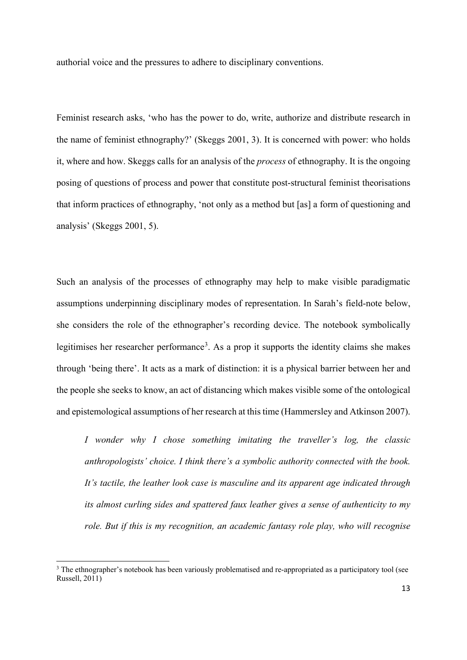authorial voice and the pressures to adhere to disciplinary conventions.

Feminist research asks, 'who has the power to do, write, authorize and distribute research in the name of feminist ethnography?' (Skeggs 2001, 3). It is concerned with power: who holds it, where and how. Skeggs calls for an analysis of the *process* of ethnography. It is the ongoing posing of questions of process and power that constitute post-structural feminist theorisations that inform practices of ethnography, 'not only as a method but [as] a form of questioning and analysis' (Skeggs 2001, 5).

Such an analysis of the processes of ethnography may help to make visible paradigmatic assumptions underpinning disciplinary modes of representation. In Sarah's field-note below, she considers the role of the ethnographer's recording device. The notebook symbolically legitimises her researcher performance<sup>[3](#page-12-0)</sup>. As a prop it supports the identity claims she makes through 'being there'. It acts as a mark of distinction: it is a physical barrier between her and the people she seeks to know, an act of distancing which makes visible some of the ontological and epistemological assumptions of her research at this time (Hammersley and Atkinson 2007).

*I wonder why I chose something imitating the traveller's log, the classic anthropologists' choice. I think there's a symbolic authority connected with the book. It's tactile, the leather look case is masculine and its apparent age indicated through its almost curling sides and spattered faux leather gives a sense of authenticity to my role. But if this is my recognition, an academic fantasy role play, who will recognise* 

<span id="page-12-0"></span><sup>&</sup>lt;sup>3</sup> The ethnographer's notebook has been variously problematised and re-appropriated as a participatory tool (see Russell, 2011)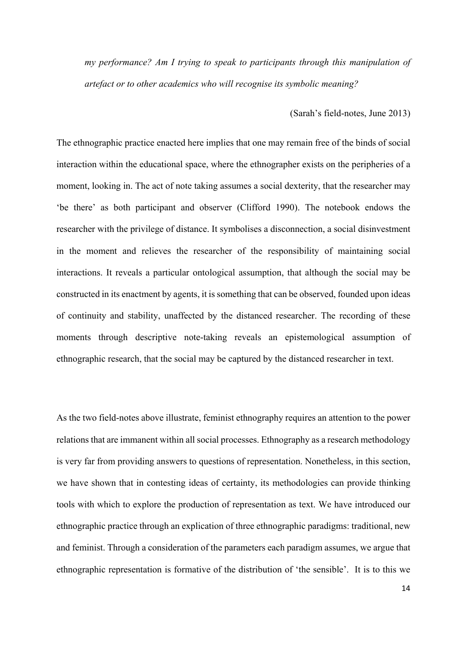*my performance? Am I trying to speak to participants through this manipulation of artefact or to other academics who will recognise its symbolic meaning?*

(Sarah's field-notes, June 2013)

The ethnographic practice enacted here implies that one may remain free of the binds of social interaction within the educational space, where the ethnographer exists on the peripheries of a moment, looking in. The act of note taking assumes a social dexterity, that the researcher may 'be there' as both participant and observer (Clifford 1990). The notebook endows the researcher with the privilege of distance. It symbolises a disconnection, a social disinvestment in the moment and relieves the researcher of the responsibility of maintaining social interactions. It reveals a particular ontological assumption, that although the social may be constructed in its enactment by agents, it is something that can be observed, founded upon ideas of continuity and stability, unaffected by the distanced researcher. The recording of these moments through descriptive note-taking reveals an epistemological assumption of ethnographic research, that the social may be captured by the distanced researcher in text.

As the two field-notes above illustrate, feminist ethnography requires an attention to the power relations that are immanent within all social processes. Ethnography as a research methodology is very far from providing answers to questions of representation. Nonetheless, in this section, we have shown that in contesting ideas of certainty, its methodologies can provide thinking tools with which to explore the production of representation as text. We have introduced our ethnographic practice through an explication of three ethnographic paradigms: traditional, new and feminist. Through a consideration of the parameters each paradigm assumes, we argue that ethnographic representation is formative of the distribution of 'the sensible'. It is to this we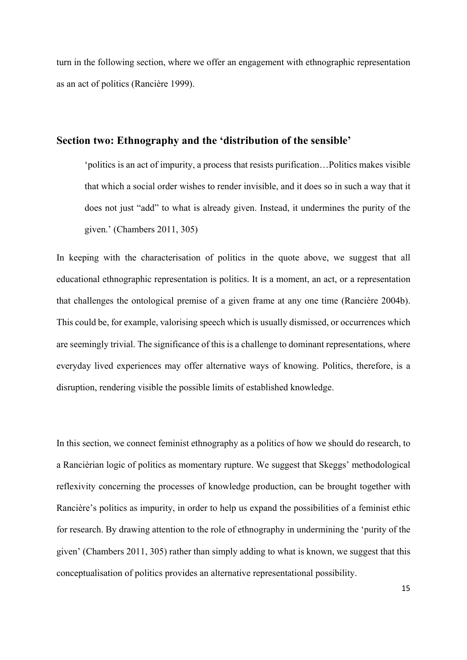turn in the following section, where we offer an engagement with ethnographic representation as an act of politics (Rancière 1999).

#### **Section two: Ethnography and the 'distribution of the sensible'**

'politics is an act of impurity, a process that resists purification…Politics makes visible that which a social order wishes to render invisible, and it does so in such a way that it does not just "add" to what is already given. Instead, it undermines the purity of the given.' (Chambers 2011, 305)

In keeping with the characterisation of politics in the quote above, we suggest that all educational ethnographic representation is politics. It is a moment, an act, or a representation that challenges the ontological premise of a given frame at any one time (Rancière 2004b). This could be, for example, valorising speech which is usually dismissed, or occurrences which are seemingly trivial. The significance of this is a challenge to dominant representations, where everyday lived experiences may offer alternative ways of knowing. Politics, therefore, is a disruption, rendering visible the possible limits of established knowledge.

In this section, we connect feminist ethnography as a politics of how we should do research, to a Rancièrian logic of politics as momentary rupture. We suggest that Skeggs' methodological reflexivity concerning the processes of knowledge production, can be brought together with Rancière's politics as impurity, in order to help us expand the possibilities of a feminist ethic for research. By drawing attention to the role of ethnography in undermining the 'purity of the given' (Chambers 2011, 305) rather than simply adding to what is known, we suggest that this conceptualisation of politics provides an alternative representational possibility.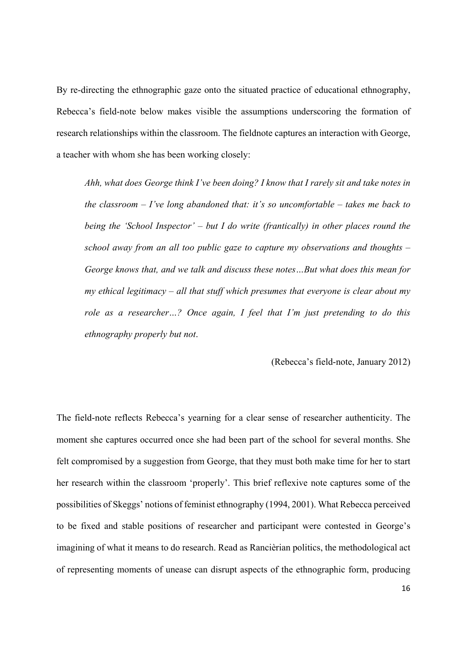By re-directing the ethnographic gaze onto the situated practice of educational ethnography, Rebecca's field-note below makes visible the assumptions underscoring the formation of research relationships within the classroom. The fieldnote captures an interaction with George, a teacher with whom she has been working closely:

*Ahh, what does George think I've been doing? I know that I rarely sit and take notes in the classroom – I've long abandoned that: it's so uncomfortable – takes me back to being the 'School Inspector' – but I do write (frantically) in other places round the school away from an all too public gaze to capture my observations and thoughts – George knows that, and we talk and discuss these notes…But what does this mean for my ethical legitimacy – all that stuff which presumes that everyone is clear about my role as a researcher…? Once again, I feel that I'm just pretending to do this ethnography properly but not*.

#### (Rebecca's field-note, January 2012)

The field-note reflects Rebecca's yearning for a clear sense of researcher authenticity. The moment she captures occurred once she had been part of the school for several months. She felt compromised by a suggestion from George, that they must both make time for her to start her research within the classroom 'properly'. This brief reflexive note captures some of the possibilities of Skeggs' notions of feminist ethnography (1994, 2001). What Rebecca perceived to be fixed and stable positions of researcher and participant were contested in George's imagining of what it means to do research. Read as Rancièrian politics, the methodological act of representing moments of unease can disrupt aspects of the ethnographic form, producing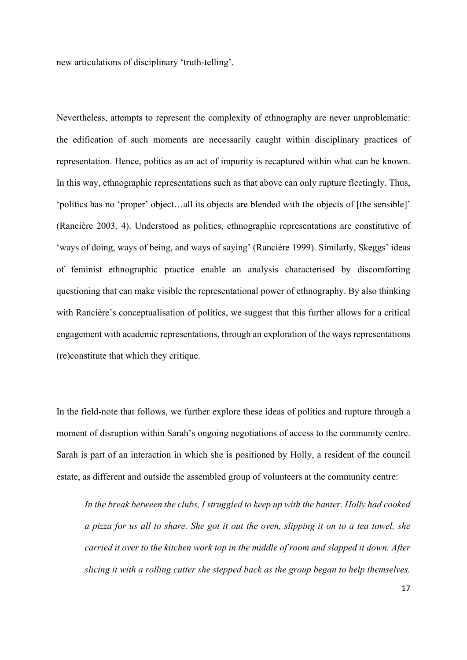new articulations of disciplinary 'truth-telling'.

Nevertheless, attempts to represent the complexity of ethnography are never unproblematic: the edification of such moments are necessarily caught within disciplinary practices of representation. Hence, politics as an act of impurity is recaptured within what can be known. In this way, ethnographic representations such as that above can only rupture fleetingly. Thus, 'politics has no 'proper' object…all its objects are blended with the objects of [the sensible]' (Rancière 2003, 4). Understood as politics, ethnographic representations are constitutive of 'ways of doing, ways of being, and ways of saying' (Rancière 1999). Similarly, Skeggs' ideas of feminist ethnographic practice enable an analysis characterised by discomforting questioning that can make visible the representational power of ethnography. By also thinking with Rancière's conceptualisation of politics, we suggest that this further allows for a critical engagement with academic representations, through an exploration of the ways representations (re)constitute that which they critique.

In the field-note that follows, we further explore these ideas of politics and rupture through a moment of disruption within Sarah's ongoing negotiations of access to the community centre. Sarah is part of an interaction in which she is positioned by Holly, a resident of the council estate, as different and outside the assembled group of volunteers at the community centre:

*In the break between the clubs, I struggled to keep up with the banter. Holly had cooked a pizza for us all to share. She got it out the oven, slipping it on to a tea towel, she carried it over to the kitchen work top in the middle of room and slapped it down. After slicing it with a rolling cutter she stepped back as the group began to help themselves.*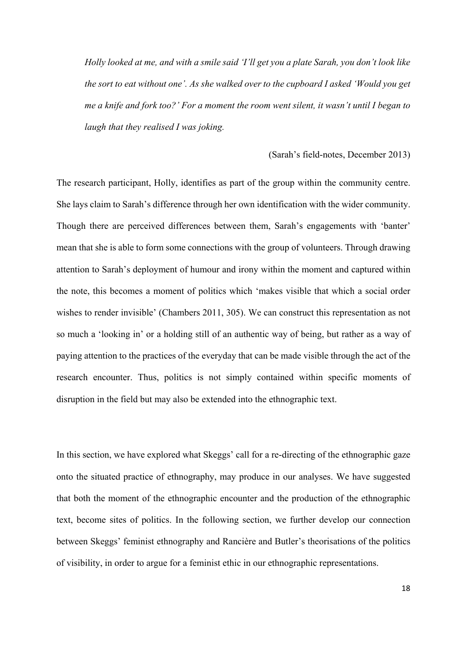*Holly looked at me, and with a smile said 'I'll get you a plate Sarah, you don't look like the sort to eat without one'. As she walked over to the cupboard I asked 'Would you get me a knife and fork too?' For a moment the room went silent, it wasn't until I began to laugh that they realised I was joking.* 

#### (Sarah's field-notes, December 2013)

The research participant, Holly, identifies as part of the group within the community centre. She lays claim to Sarah's difference through her own identification with the wider community. Though there are perceived differences between them, Sarah's engagements with 'banter' mean that she is able to form some connections with the group of volunteers. Through drawing attention to Sarah's deployment of humour and irony within the moment and captured within the note, this becomes a moment of politics which 'makes visible that which a social order wishes to render invisible' (Chambers 2011, 305). We can construct this representation as not so much a 'looking in' or a holding still of an authentic way of being, but rather as a way of paying attention to the practices of the everyday that can be made visible through the act of the research encounter. Thus, politics is not simply contained within specific moments of disruption in the field but may also be extended into the ethnographic text.

In this section, we have explored what Skeggs' call for a re-directing of the ethnographic gaze onto the situated practice of ethnography, may produce in our analyses. We have suggested that both the moment of the ethnographic encounter and the production of the ethnographic text, become sites of politics. In the following section, we further develop our connection between Skeggs' feminist ethnography and Rancière and Butler's theorisations of the politics of visibility, in order to argue for a feminist ethic in our ethnographic representations.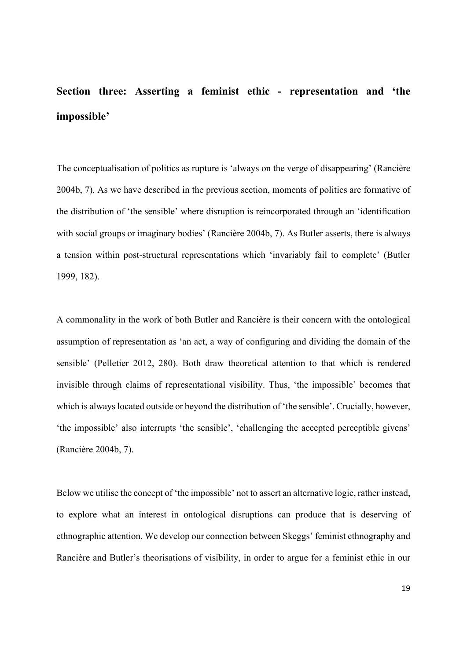# **Section three: Asserting a feminist ethic - representation and 'the impossible'**

The conceptualisation of politics as rupture is 'always on the verge of disappearing' (Rancière 2004b, 7). As we have described in the previous section, moments of politics are formative of the distribution of 'the sensible' where disruption is reincorporated through an 'identification with social groups or imaginary bodies' (Rancière 2004b, 7). As Butler asserts, there is always a tension within post-structural representations which 'invariably fail to complete' (Butler 1999, 182).

A commonality in the work of both Butler and Rancière is their concern with the ontological assumption of representation as 'an act, a way of configuring and dividing the domain of the sensible' (Pelletier 2012, 280). Both draw theoretical attention to that which is rendered invisible through claims of representational visibility. Thus, 'the impossible' becomes that which is always located outside or beyond the distribution of 'the sensible'. Crucially, however, 'the impossible' also interrupts 'the sensible', 'challenging the accepted perceptible givens' (Rancière 2004b, 7).

Below we utilise the concept of 'the impossible' not to assert an alternative logic, rather instead, to explore what an interest in ontological disruptions can produce that is deserving of ethnographic attention. We develop our connection between Skeggs' feminist ethnography and Rancière and Butler's theorisations of visibility, in order to argue for a feminist ethic in our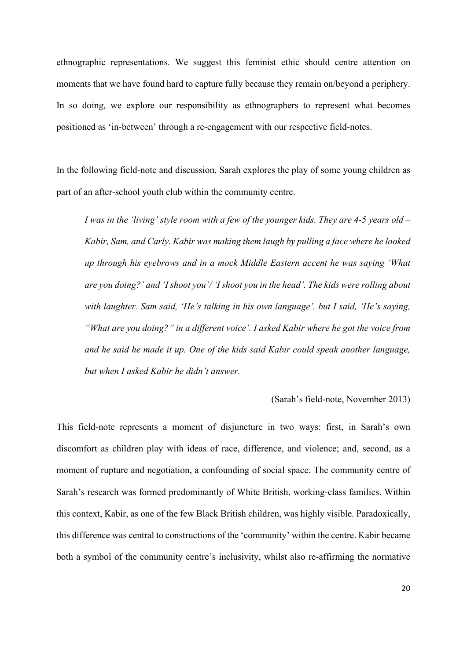ethnographic representations. We suggest this feminist ethic should centre attention on moments that we have found hard to capture fully because they remain on/beyond a periphery. In so doing, we explore our responsibility as ethnographers to represent what becomes positioned as 'in-between' through a re-engagement with our respective field-notes.

In the following field-note and discussion, Sarah explores the play of some young children as part of an after-school youth club within the community centre.

*I was in the 'living' style room with a few of the younger kids. They are 4-5 years old – Kabir, Sam, and Carly. Kabir was making them laugh by pulling a face where he looked up through his eyebrows and in a mock Middle Eastern accent he was saying 'What are you doing?' and 'I shoot you'/ 'I shoot you in the head'. The kids were rolling about with laughter. Sam said, 'He's talking in his own language', but I said, 'He's saying, "What are you doing?" in a different voice'. I asked Kabir where he got the voice from and he said he made it up. One of the kids said Kabir could speak another language, but when I asked Kabir he didn't answer.* 

#### (Sarah's field-note, November 2013)

This field-note represents a moment of disjuncture in two ways: first, in Sarah's own discomfort as children play with ideas of race, difference, and violence; and, second, as a moment of rupture and negotiation, a confounding of social space. The community centre of Sarah's research was formed predominantly of White British, working-class families. Within this context, Kabir, as one of the few Black British children, was highly visible. Paradoxically, this difference was central to constructions of the 'community' within the centre. Kabir became both a symbol of the community centre's inclusivity, whilst also re-affirming the normative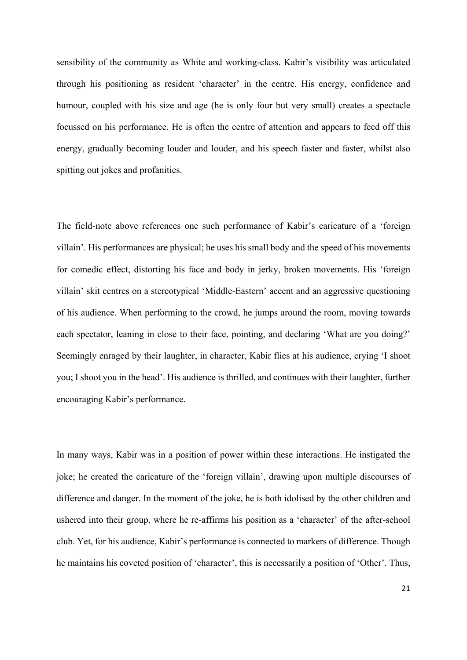sensibility of the community as White and working-class. Kabir's visibility was articulated through his positioning as resident 'character' in the centre. His energy, confidence and humour, coupled with his size and age (he is only four but very small) creates a spectacle focussed on his performance. He is often the centre of attention and appears to feed off this energy, gradually becoming louder and louder, and his speech faster and faster, whilst also spitting out jokes and profanities.

The field-note above references one such performance of Kabir's caricature of a 'foreign villain'. His performances are physical; he uses his small body and the speed of his movements for comedic effect, distorting his face and body in jerky, broken movements. His 'foreign villain' skit centres on a stereotypical 'Middle-Eastern' accent and an aggressive questioning of his audience. When performing to the crowd, he jumps around the room, moving towards each spectator, leaning in close to their face, pointing, and declaring 'What are you doing?' Seemingly enraged by their laughter, in character, Kabir flies at his audience, crying 'I shoot you; I shoot you in the head'. His audience is thrilled, and continues with their laughter, further encouraging Kabir's performance.

In many ways, Kabir was in a position of power within these interactions. He instigated the joke; he created the caricature of the 'foreign villain', drawing upon multiple discourses of difference and danger. In the moment of the joke, he is both idolised by the other children and ushered into their group, where he re-affirms his position as a 'character' of the after-school club. Yet, for his audience, Kabir's performance is connected to markers of difference. Though he maintains his coveted position of 'character', this is necessarily a position of 'Other'. Thus,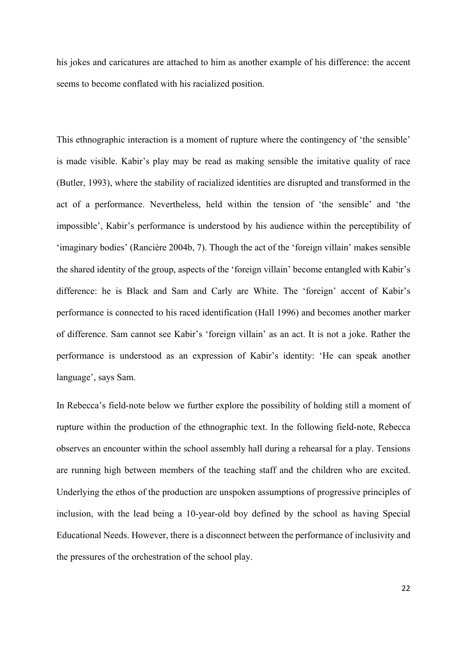his jokes and caricatures are attached to him as another example of his difference: the accent seems to become conflated with his racialized position.

This ethnographic interaction is a moment of rupture where the contingency of 'the sensible' is made visible. Kabir's play may be read as making sensible the imitative quality of race (Butler, 1993), where the stability of racialized identities are disrupted and transformed in the act of a performance. Nevertheless, held within the tension of 'the sensible' and 'the impossible', Kabir's performance is understood by his audience within the perceptibility of 'imaginary bodies' (Rancière 2004b, 7). Though the act of the 'foreign villain' makes sensible the shared identity of the group, aspects of the 'foreign villain' become entangled with Kabir's difference: he is Black and Sam and Carly are White. The 'foreign' accent of Kabir's performance is connected to his raced identification (Hall 1996) and becomes another marker of difference. Sam cannot see Kabir's 'foreign villain' as an act. It is not a joke. Rather the performance is understood as an expression of Kabir's identity: 'He can speak another language', says Sam.

In Rebecca's field-note below we further explore the possibility of holding still a moment of rupture within the production of the ethnographic text. In the following field-note, Rebecca observes an encounter within the school assembly hall during a rehearsal for a play. Tensions are running high between members of the teaching staff and the children who are excited. Underlying the ethos of the production are unspoken assumptions of progressive principles of inclusion, with the lead being a 10-year-old boy defined by the school as having Special Educational Needs. However, there is a disconnect between the performance of inclusivity and the pressures of the orchestration of the school play.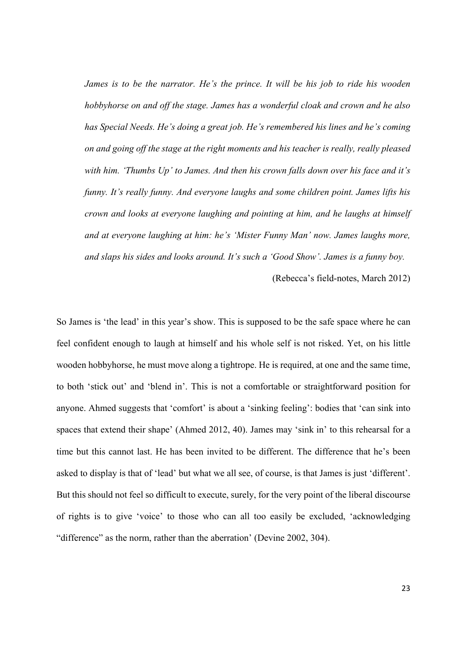*James is to be the narrator. He's the prince. It will be his job to ride his wooden hobbyhorse on and off the stage. James has a wonderful cloak and crown and he also has Special Needs. He's doing a great job. He's remembered his lines and he's coming on and going off the stage at the right moments and his teacher is really, really pleased with him. 'Thumbs Up' to James. And then his crown falls down over his face and it's funny. It's really funny. And everyone laughs and some children point. James lifts his crown and looks at everyone laughing and pointing at him, and he laughs at himself and at everyone laughing at him: he's 'Mister Funny Man' now. James laughs more, and slaps his sides and looks around. It's such a 'Good Show'. James is a funny boy.* 

(Rebecca's field-notes, March 2012)

So James is 'the lead' in this year's show. This is supposed to be the safe space where he can feel confident enough to laugh at himself and his whole self is not risked. Yet, on his little wooden hobbyhorse, he must move along a tightrope. He is required, at one and the same time, to both 'stick out' and 'blend in'. This is not a comfortable or straightforward position for anyone. Ahmed suggests that 'comfort' is about a 'sinking feeling': bodies that 'can sink into spaces that extend their shape' (Ahmed 2012, 40). James may 'sink in' to this rehearsal for a time but this cannot last. He has been invited to be different. The difference that he's been asked to display is that of 'lead' but what we all see, of course, is that James is just 'different'. But this should not feel so difficult to execute, surely, for the very point of the liberal discourse of rights is to give 'voice' to those who can all too easily be excluded, 'acknowledging "difference" as the norm, rather than the aberration' (Devine 2002, 304).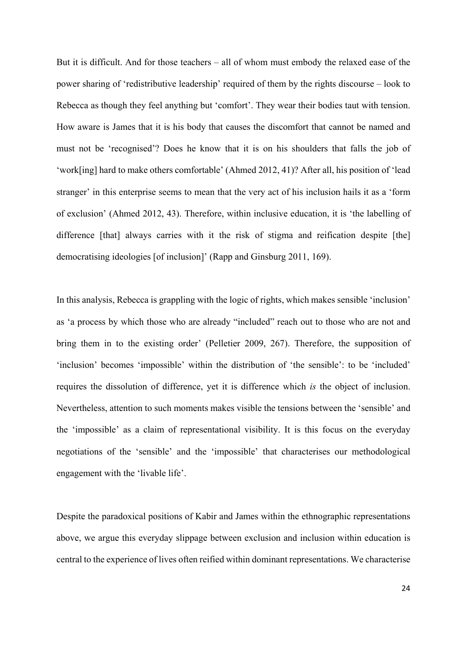But it is difficult. And for those teachers – all of whom must embody the relaxed ease of the power sharing of 'redistributive leadership' required of them by the rights discourse – look to Rebecca as though they feel anything but 'comfort'. They wear their bodies taut with tension. How aware is James that it is his body that causes the discomfort that cannot be named and must not be 'recognised'? Does he know that it is on his shoulders that falls the job of 'work[ing] hard to make others comfortable' (Ahmed 2012, 41)? After all, his position of 'lead stranger' in this enterprise seems to mean that the very act of his inclusion hails it as a 'form of exclusion' (Ahmed 2012, 43). Therefore, within inclusive education, it is 'the labelling of difference [that] always carries with it the risk of stigma and reification despite [the] democratising ideologies [of inclusion]' (Rapp and Ginsburg 2011, 169).

In this analysis, Rebecca is grappling with the logic of rights, which makes sensible 'inclusion' as 'a process by which those who are already "included" reach out to those who are not and bring them in to the existing order' (Pelletier 2009, 267). Therefore, the supposition of 'inclusion' becomes 'impossible' within the distribution of 'the sensible': to be 'included' requires the dissolution of difference, yet it is difference which *is* the object of inclusion. Nevertheless, attention to such moments makes visible the tensions between the 'sensible' and the 'impossible' as a claim of representational visibility. It is this focus on the everyday negotiations of the 'sensible' and the 'impossible' that characterises our methodological engagement with the 'livable life'.

Despite the paradoxical positions of Kabir and James within the ethnographic representations above, we argue this everyday slippage between exclusion and inclusion within education is central to the experience of lives often reified within dominant representations. We characterise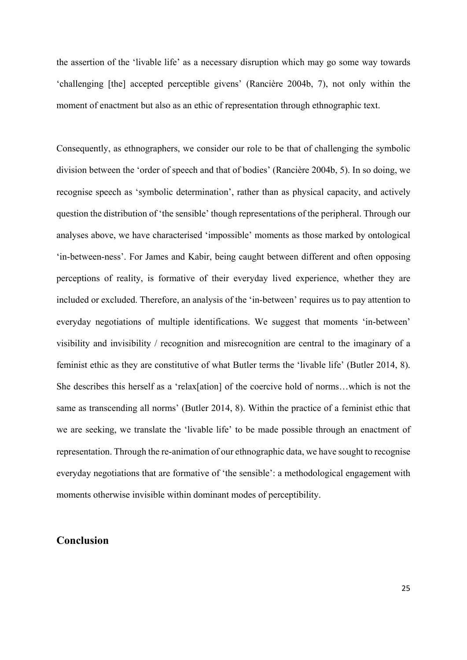the assertion of the 'livable life' as a necessary disruption which may go some way towards 'challenging [the] accepted perceptible givens' (Rancière 2004b, 7), not only within the moment of enactment but also as an ethic of representation through ethnographic text.

Consequently, as ethnographers, we consider our role to be that of challenging the symbolic division between the 'order of speech and that of bodies' (Rancière 2004b, 5). In so doing, we recognise speech as 'symbolic determination', rather than as physical capacity, and actively question the distribution of 'the sensible' though representations of the peripheral. Through our analyses above, we have characterised 'impossible' moments as those marked by ontological 'in-between-ness'. For James and Kabir, being caught between different and often opposing perceptions of reality, is formative of their everyday lived experience, whether they are included or excluded. Therefore, an analysis of the 'in-between' requires us to pay attention to everyday negotiations of multiple identifications. We suggest that moments 'in-between' visibility and invisibility / recognition and misrecognition are central to the imaginary of a feminist ethic as they are constitutive of what Butler terms the 'livable life' (Butler 2014, 8). She describes this herself as a 'relax[ation] of the coercive hold of norms…which is not the same as transcending all norms' (Butler 2014, 8). Within the practice of a feminist ethic that we are seeking, we translate the 'livable life' to be made possible through an enactment of representation. Through the re-animation of our ethnographic data, we have sought to recognise everyday negotiations that are formative of 'the sensible': a methodological engagement with moments otherwise invisible within dominant modes of perceptibility.

## **Conclusion**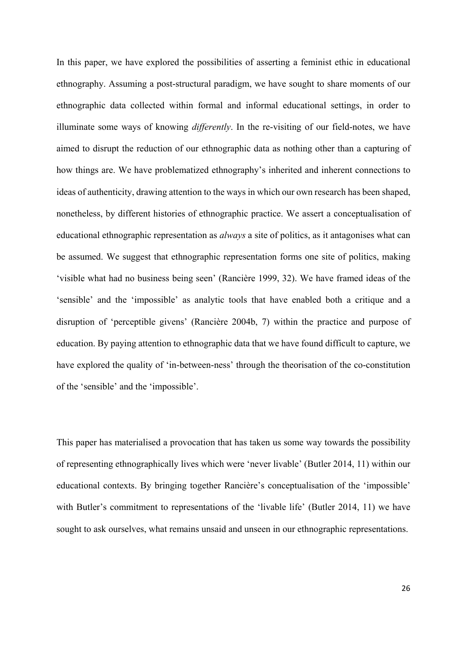In this paper, we have explored the possibilities of asserting a feminist ethic in educational ethnography. Assuming a post-structural paradigm, we have sought to share moments of our ethnographic data collected within formal and informal educational settings, in order to illuminate some ways of knowing *differently*. In the re-visiting of our field-notes, we have aimed to disrupt the reduction of our ethnographic data as nothing other than a capturing of how things are. We have problematized ethnography's inherited and inherent connections to ideas of authenticity, drawing attention to the ways in which our own research has been shaped, nonetheless, by different histories of ethnographic practice. We assert a conceptualisation of educational ethnographic representation as *always* a site of politics, as it antagonises what can be assumed. We suggest that ethnographic representation forms one site of politics, making 'visible what had no business being seen' (Rancière 1999, 32). We have framed ideas of the 'sensible' and the 'impossible' as analytic tools that have enabled both a critique and a disruption of 'perceptible givens' (Rancière 2004b, 7) within the practice and purpose of education. By paying attention to ethnographic data that we have found difficult to capture, we have explored the quality of 'in-between-ness' through the theorisation of the co-constitution of the 'sensible' and the 'impossible'.

This paper has materialised a provocation that has taken us some way towards the possibility of representing ethnographically lives which were 'never livable' (Butler 2014, 11) within our educational contexts. By bringing together Rancière's conceptualisation of the 'impossible' with Butler's commitment to representations of the 'livable life' (Butler 2014, 11) we have sought to ask ourselves, what remains unsaid and unseen in our ethnographic representations.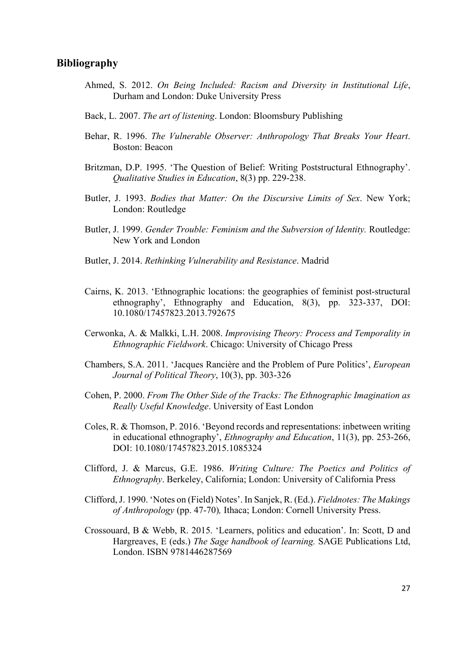#### **Bibliography**

- Ahmed, S. 2012. *On Being Included: Racism and Diversity in Institutional Life*, Durham and London: Duke University Press
- Back, L. 2007. *The art of listening*. London: Bloomsbury Publishing
- Behar, R. 1996. *The Vulnerable Observer: Anthropology That Breaks Your Heart*. Boston: Beacon
- Britzman, D.P. 1995. 'The Question of Belief: Writing Poststructural Ethnography'. *Qualitative Studies in Education*, 8(3) pp. 229-238.
- Butler, J. 1993. *Bodies that Matter: On the Discursive Limits of Sex*. New York; London: Routledge
- Butler, J. 1999. *Gender Trouble: Feminism and the Subversion of Identity.* Routledge: New York and London
- Butler, J. 2014. *Rethinking Vulnerability and Resistance*. Madrid
- Cairns, K. 2013. 'Ethnographic locations: the geographies of feminist post-structural ethnography', Ethnography and Education, 8(3), pp. 323-337, DOI: 10.1080/17457823.2013.792675
- Cerwonka, A. & Malkki, L.H. 2008. *Improvising Theory: Process and Temporality in Ethnographic Fieldwork*. Chicago: University of Chicago Press
- Chambers, S.A. 2011. 'Jacques Rancière and the Problem of Pure Politics', *European Journal of Political Theory*, 10(3), pp. 303-326
- Cohen, P. 2000. *From The Other Side of the Tracks: The Ethnographic Imagination as Really Useful Knowledge*. University of East London
- Coles, R. & Thomson, P. 2016. 'Beyond records and representations: inbetween writing in educational ethnography', *Ethnography and Education*, 11(3), pp. 253-266, DOI: 10.1080/17457823.2015.1085324
- Clifford, J. & Marcus, G.E. 1986. *Writing Culture: The Poetics and Politics of Ethnography*. Berkeley, California; London: University of California Press
- Clifford,J. 1990. 'Notes on (Field) Notes'. In Sanjek, R. (Ed.). *Fieldnotes: The Makings of Anthropology* (pp. 47-70)*,* Ithaca; London: Cornell University Press.
- Crossouard, B & Webb, R. 2015. 'Learners, politics and education'. In: Scott, D and Hargreaves, E (eds.) *The Sage handbook of learning.* SAGE Publications Ltd, London. ISBN 9781446287569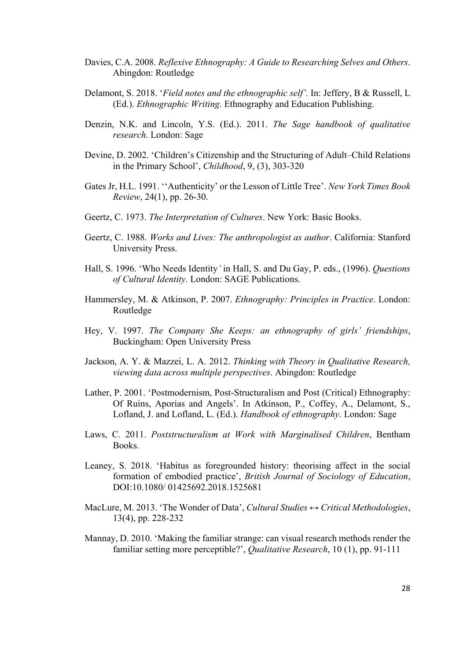- Davies, C.A. 2008. *Reflexive Ethnography: A Guide to Researching Selves and Others*. Abingdon: Routledge
- Delamont, S. 2018. '*Field notes and the ethnographic self'.* In: Jeffery, B & Russell, L (Ed.). *Ethnographic Writing*. Ethnography and Education Publishing.
- Denzin, N.K. and Lincoln, Y.S. (Ed.). 2011. *The Sage handbook of qualitative research*. London: Sage
- Devine, D. 2002. 'Children's Citizenship and the Structuring of Adult–Child Relations in the Primary School', *Childhood*, 9, (3), 303-320
- Gates Jr, H.L. 1991. ''Authenticity' or the Lesson of Little Tree'. *New York Times Book Review*, 24(1), pp. 26-30.
- Geertz, C. 1973. *The Interpretation of Cultures*. New York: Basic Books.
- Geertz, C. 1988. *Works and Lives: The anthropologist as author*. California: Stanford University Press.
- Hall, S. 1996. 'Who Needs Identity*'* in Hall, S. and Du Gay, P. eds., (1996). *Questions of Cultural Identity.* London: SAGE Publications.
- Hammersley, M. & Atkinson, P. 2007. *Ethnography: Principles in Practice*. London: Routledge
- Hey, V. 1997. *The Company She Keeps: an ethnography of girls' friendships*, Buckingham: Open University Press
- Jackson, A. Y. & Mazzei, L. A. 2012. *Thinking with Theory in Qualitative Research, viewing data across multiple perspectives*. Abingdon: Routledge
- Lather, P. 2001. 'Postmodernism, Post-Structuralism and Post (Critical) Ethnography: Of Ruins, Aporias and Angels'. In Atkinson, P., Coffey, A., Delamont, S., Lofland, J. and Lofland, L. (Ed.). *Handbook of ethnography*. London: Sage
- Laws, C. 2011. *Poststructuralism at Work with Marginalised Children*, Bentham Books.
- Leaney, S. 2018. 'Habitus as foregrounded history: theorising affect in the social formation of embodied practice', *British Journal of Sociology of Education*, DOI:10.1080/ 01425692.2018.1525681
- MacLure, M. 2013. 'The Wonder of Data', *Cultural Studies ↔ Critical Methodologies*, 13(4), pp. 228-232
- Mannay, D. 2010. 'Making the familiar strange: can visual research methods render the familiar setting more perceptible?', *Qualitative Research*, 10 (1), pp. 91-111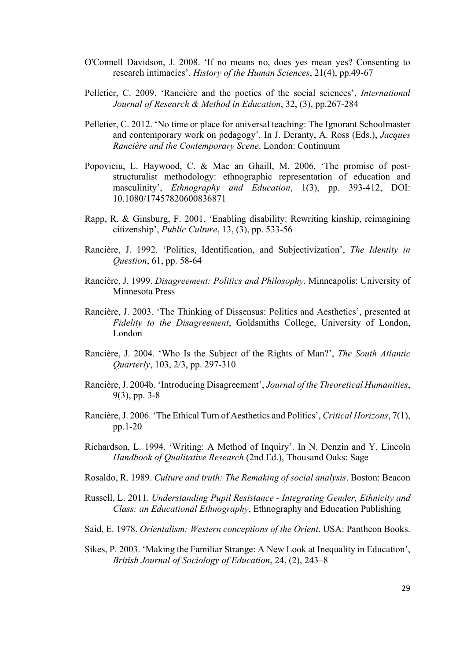- O'Connell Davidson, J. 2008. 'If no means no, does yes mean yes? Consenting to research intimacies'. *History of the Human Sciences*, 21(4), pp.49-67
- Pelletier, C. 2009. 'Rancière and the poetics of the social sciences', *International Journal of Research & Method in Education*, 32, (3), pp.267-284
- Pelletier, C. 2012. 'No time or place for universal teaching: The Ignorant Schoolmaster and contemporary work on pedagogy'. In J. Deranty, A. Ross (Eds.), *Jacques Rancière and the Contemporary Scene*. London: Continuum
- Popoviciu, L. Haywood, C. & Mac an Ghaill, M. 2006. 'The promise of poststructuralist methodology: ethnographic representation of education and masculinity', *Ethnography and Education*, 1(3), pp. 393-412, DOI: 10.1080/17457820600836871
- Rapp, R. & Ginsburg, F. 2001. 'Enabling disability: Rewriting kinship, reimagining citizenship', *Public Culture*, 13, (3), pp. 533-56
- Rancière, J. 1992. 'Politics, Identification, and Subjectivization', *The Identity in Question*, 61, pp. 58-64
- Rancière, J. 1999. *Disagreement: Politics and Philosophy*. Minneapolis: University of Minnesota Press
- Rancière, J. 2003. 'The Thinking of Dissensus: Politics and Aesthetics', presented at *Fidelity to the Disagreement*, Goldsmiths College, University of London, London
- Rancière, J. 2004. 'Who Is the Subject of the Rights of Man?', *The South Atlantic Quarterly*, 103, 2/3, pp. 297-310
- Rancière, J. 2004b. 'Introducing Disagreement', *Journal of the Theoretical Humanities*, 9(3), pp. 3-8
- Rancière, J. 2006. 'The Ethical Turn of Aesthetics and Politics', *Critical Horizons*, 7(1), pp.1-20
- Richardson, L. 1994. 'Writing: A Method of Inquiry'. In N. Denzin and Y. Lincoln *Handbook of Qualitative Research* (2nd Ed.), Thousand Oaks: Sage
- Rosaldo, R. 1989. *Culture and truth: The Remaking of social analysis*. Boston: Beacon
- Russell, L. 2011. *Understanding Pupil Resistance - Integrating Gender, Ethnicity and Class: an Educational Ethnography*, Ethnography and Education Publishing
- Said, E. 1978. *Orientalism: Western conceptions of the Orient*. USA: Pantheon Books.
- Sikes, P. 2003. 'Making the Familiar Strange: A New Look at Inequality in Education', *British Journal of Sociology of Education*, 24, (2), 243–8